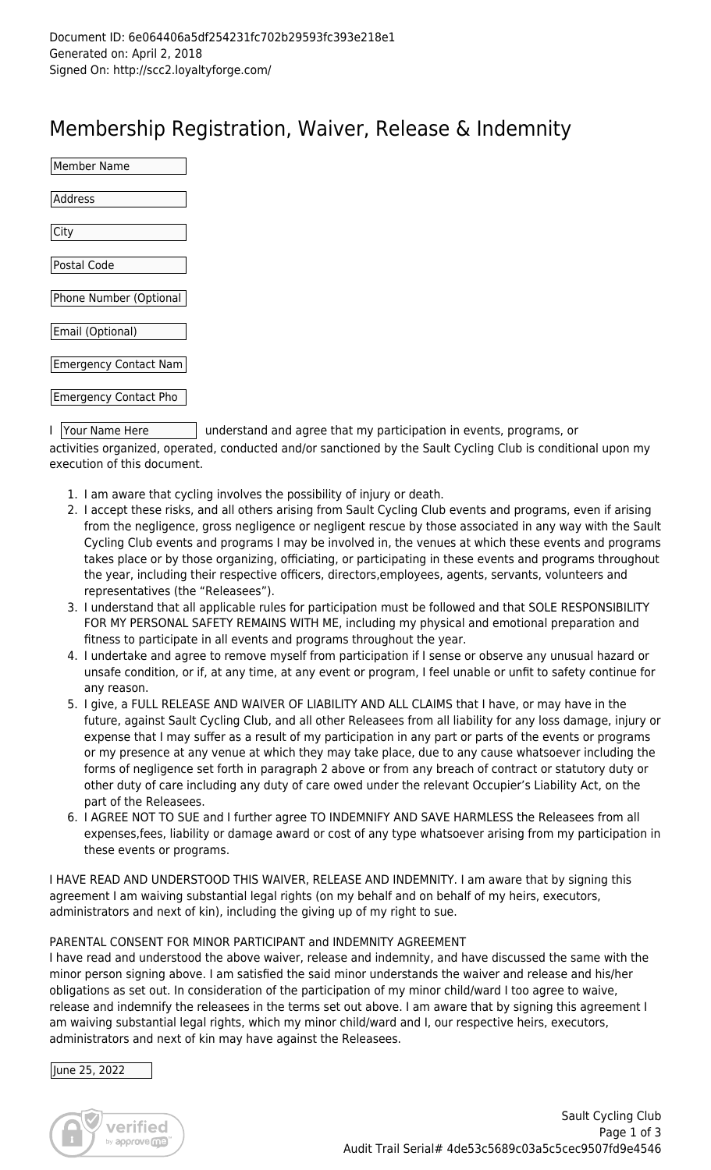## Membership Registration, Waiver, Release & Indemnity

| Member Name                  |  |
|------------------------------|--|
|                              |  |
| Address                      |  |
|                              |  |
| City                         |  |
|                              |  |
| Postal Code                  |  |
|                              |  |
| Phone Number (Optional       |  |
|                              |  |
| Email (Optional)             |  |
|                              |  |
| <b>Emergency Contact Nam</b> |  |
|                              |  |
| <b>Emergency Contact Pho</b> |  |
|                              |  |

I Your Name Here I understand and agree that my participation in events, programs, or activities organized, operated, conducted and/or sanctioned by the Sault Cycling Club is conditional upon my execution of this document.

- 1. I am aware that cycling involves the possibility of injury or death.
- 2. I accept these risks, and all others arising from Sault Cycling Club events and programs, even if arising from the negligence, gross negligence or negligent rescue by those associated in any way with the Sault Cycling Club events and programs I may be involved in, the venues at which these events and programs takes place or by those organizing, officiating, or participating in these events and programs throughout the year, including their respective officers, directors,employees, agents, servants, volunteers and representatives (the "Releasees").
- 3. I understand that all applicable rules for participation must be followed and that SOLE RESPONSIBILITY FOR MY PERSONAL SAFETY REMAINS WITH ME, including my physical and emotional preparation and fitness to participate in all events and programs throughout the year.
- 4. I undertake and agree to remove myself from participation if I sense or observe any unusual hazard or unsafe condition, or if, at any time, at any event or program, I feel unable or unfit to safety continue for any reason.
- 5. I give, a FULL RELEASE AND WAIVER OF LIABILITY AND ALL CLAIMS that I have, or may have in the future, against Sault Cycling Club, and all other Releasees from all liability for any loss damage, injury or expense that I may suffer as a result of my participation in any part or parts of the events or programs or my presence at any venue at which they may take place, due to any cause whatsoever including the forms of negligence set forth in paragraph 2 above or from any breach of contract or statutory duty or other duty of care including any duty of care owed under the relevant Occupier's Liability Act, on the part of the Releasees.
- 6. I AGREE NOT TO SUE and I further agree TO INDEMNIFY AND SAVE HARMLESS the Releasees from all expenses,fees, liability or damage award or cost of any type whatsoever arising from my participation in these events or programs.

I HAVE READ AND UNDERSTOOD THIS WAIVER, RELEASE AND INDEMNITY. I am aware that by signing this agreement I am waiving substantial legal rights (on my behalf and on behalf of my heirs, executors, administrators and next of kin), including the giving up of my right to sue.

## PARENTAL CONSENT FOR MINOR PARTICIPANT and INDEMNITY AGREEMENT

I have read and understood the above waiver, release and indemnity, and have discussed the same with the minor person signing above. I am satisfied the said minor understands the waiver and release and his/her obligations as set out. In consideration of the participation of my minor child/ward I too agree to waive, release and indemnify the releasees in the terms set out above. I am aware that by signing this agreement I am waiving substantial legal rights, which my minor child/ward and I, our respective heirs, executors, administrators and next of kin may have against the Releasees.

## June 25, 2022

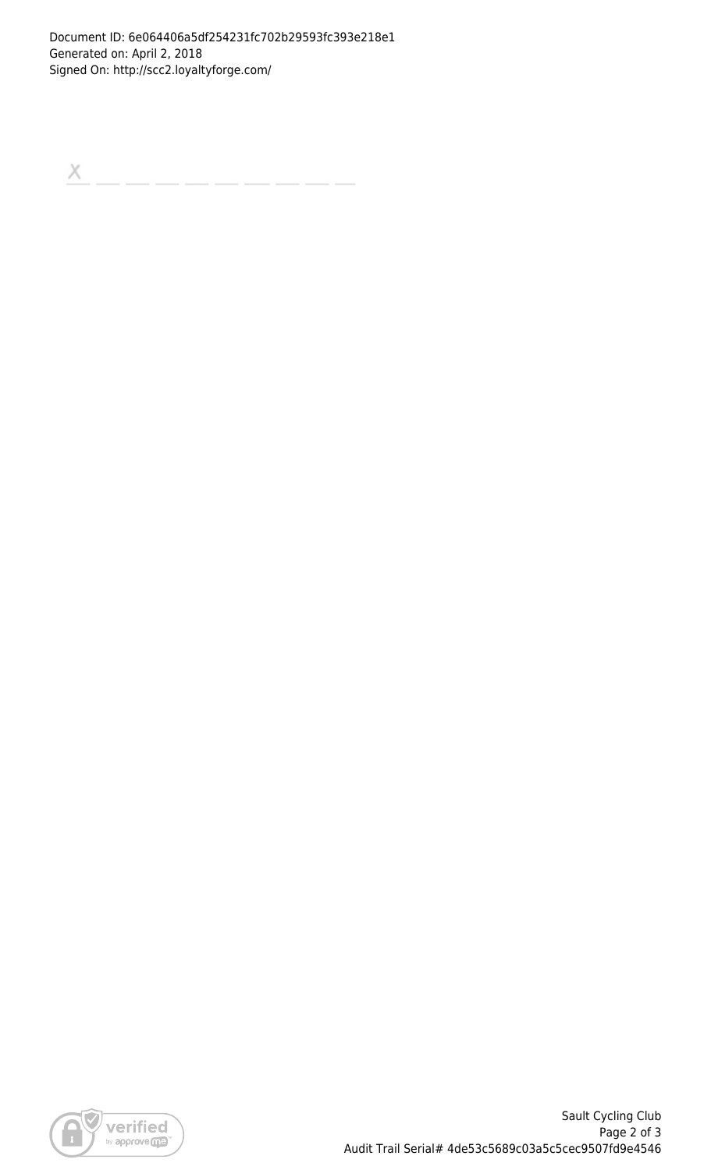$\boldsymbol{\times}$